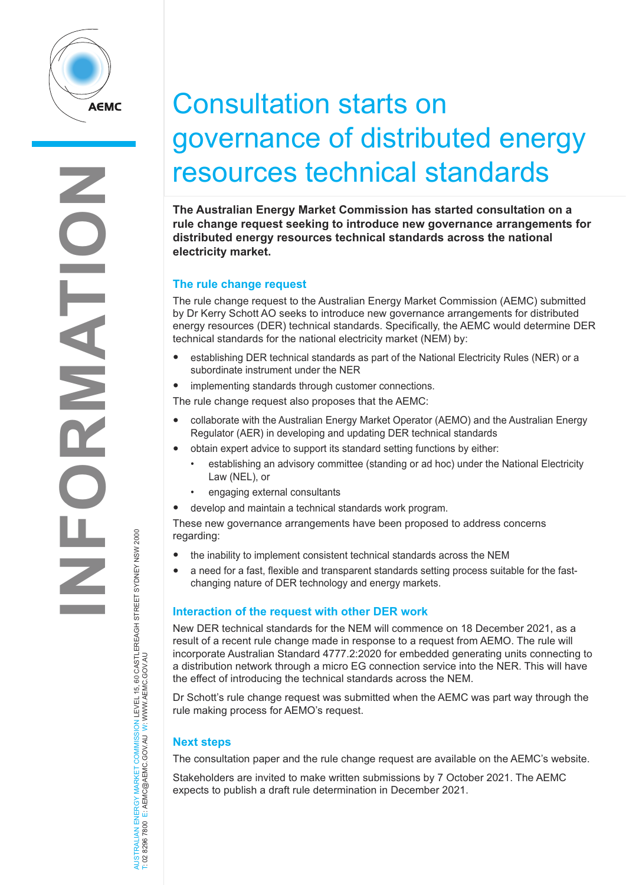

## Consultation starts on governance of distributed energy resources technical standards

**The Australian Energy Market Commission has started consultation on a rule change request seeking to introduce new governance arrangements for distributed energy resources technical standards across the national electricity market.**

## **The rule change request**

The rule change request to the Australian Energy Market Commission (AEMC) submitted by Dr Kerry Schott AO seeks to introduce new governance arrangements for distributed energy resources (DER) technical standards. Specifically, the AEMC would determine DER technical standards for the national electricity market (NEM) by:

• establishing DER technical standards as part of the National Electricity Rules (NER) or a subordinate instrument under the NER

• implementing standards through customer connections.

The rule change request also proposes that the AEMC:

- collaborate with the Australian Energy Market Operator (AEMO) and the Australian Energy Regulator (AER) in developing and updating DER technical standards
- obtain expert advice to support its standard setting functions by either:
	- establishing an advisory committee (standing or ad hoc) under the National Electricity Law (NEL), or
	- engaging external consultants
- develop and maintain a technical standards work program.

These new governance arrangements have been proposed to address concerns regarding:

- the inability to implement consistent technical standards across the NEM
- a need for a fast, flexible and transparent standards setting process suitable for the fastchanging nature of DER technology and energy markets.

## **Interaction of the request with other DER work**

New DER technical standards for the NEM will commence on 18 December 2021, as a result of a recent rule change made in response to a request from AEMO. The rule will incorporate Australian Standard 4777.2:2020 for embedded generating units connecting to a distribution network through a micro EG connection service into the NER. This will have the effect of introducing the technical standards across the NEM.

Dr Schott's rule change request was submitted when the AEMC was part way through the rule making process for AEMO's request.

## **Next steps**

AUSTRALIAN ENERGY MARKET COMMISSION LEVEL 15, 60 CASTLEREAGH STREET SYDNEY NSW 2000

AUSTRALIAN ENERGY MARKET COMMISSION LEVEL 15, 60 CASTLEREAGH STREET SYDNEY NSW 2000<br>T: 02 8296 7800 E: AEMC@AEMC.GOV.AU W: WWW.AEMC.GOV.AU

T: 02 8296 7800 E: AEMC@AEMC.GOV.AU W: WWW.AEMC.GOV.AU

The consultation paper and the rule change request are available on the AEMC's website.

Stakeholders are invited to make written submissions by 7 October 2021. The AEMC expects to publish a draft rule determination in December 2021.